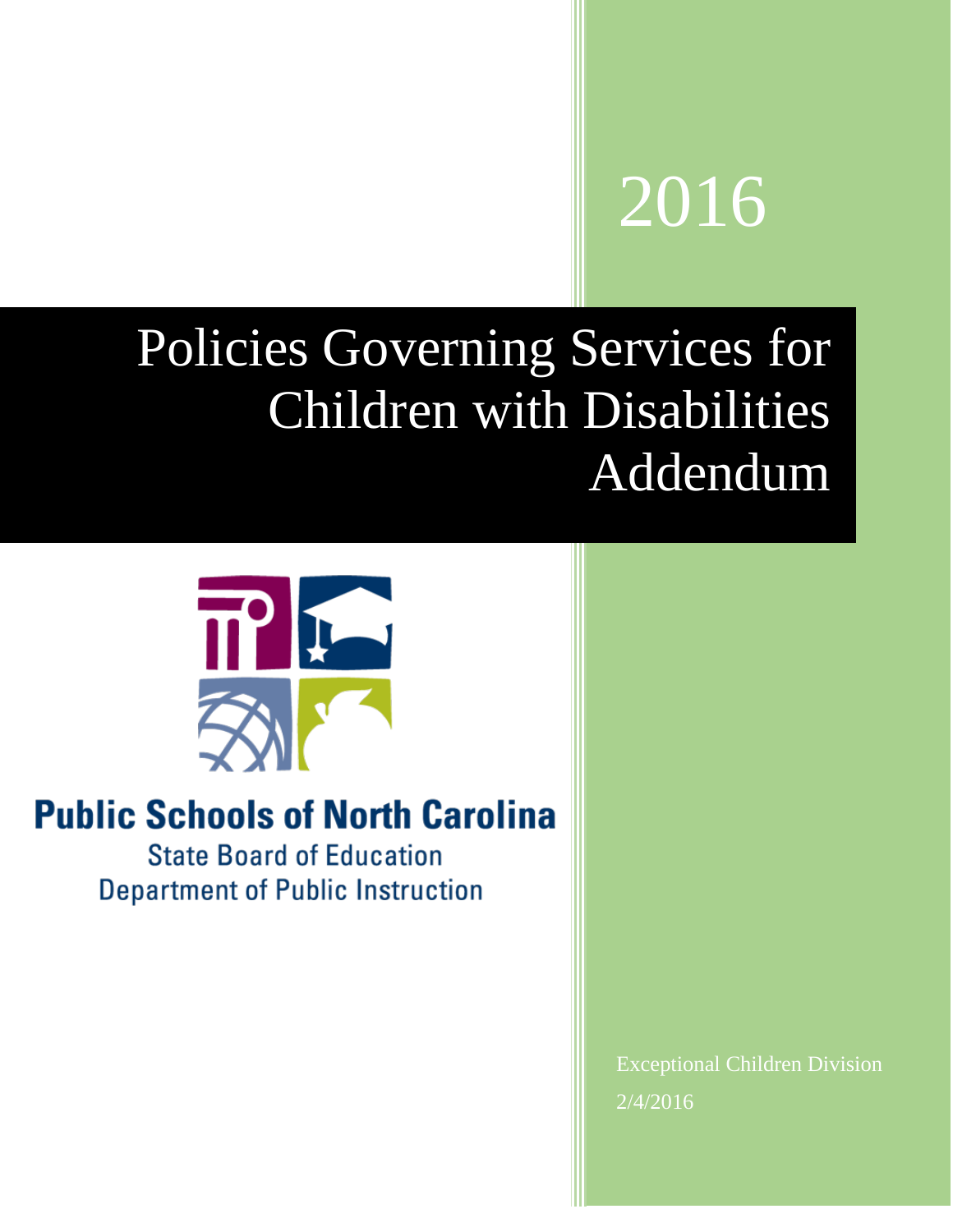# 2016

## Policies Governing Services for Children with Disabilities Addendum



### **Public Schools of North Carolina**

**State Board of Education Department of Public Instruction** 

> Exceptional Children Division 2/4/2016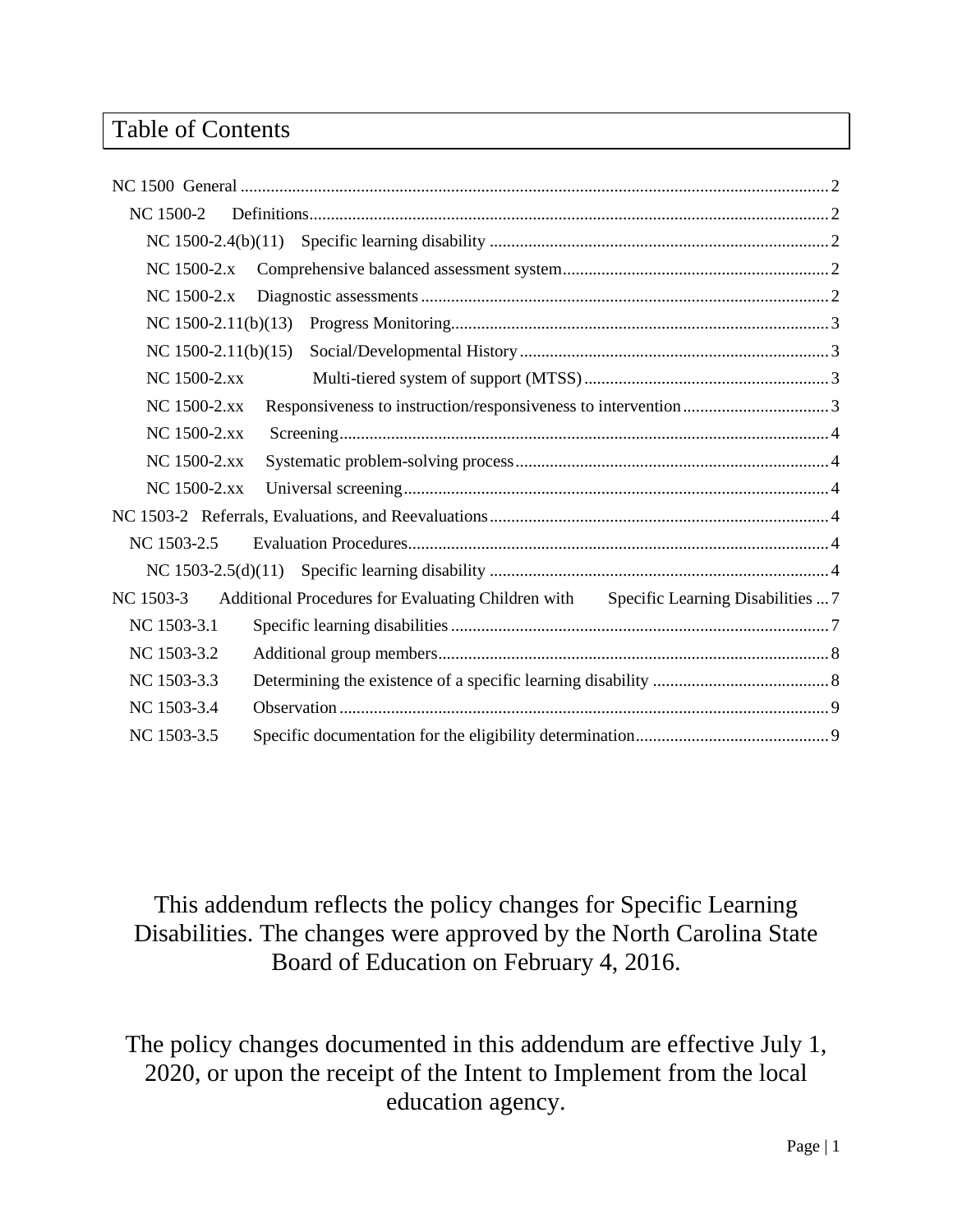#### Table of Contents

| NC 1500-2           |                                                                                      |  |
|---------------------|--------------------------------------------------------------------------------------|--|
|                     |                                                                                      |  |
| NC 1500-2.x         |                                                                                      |  |
| NC 1500-2.x         |                                                                                      |  |
| NC 1500-2.11(b)(13) |                                                                                      |  |
| NC 1500-2.11(b)(15) |                                                                                      |  |
| NC 1500-2.xx        |                                                                                      |  |
| NC 1500-2.xx        |                                                                                      |  |
| NC 1500-2.xx        |                                                                                      |  |
| NC 1500-2.xx        |                                                                                      |  |
| NC 1500-2.xx        |                                                                                      |  |
|                     |                                                                                      |  |
| NC 1503-2.5         |                                                                                      |  |
|                     |                                                                                      |  |
| NC 1503-3           | Additional Procedures for Evaluating Children with Specific Learning Disabilities  7 |  |
| NC 1503-3.1         |                                                                                      |  |
| NC 1503-3.2         |                                                                                      |  |
| NC 1503-3.3         |                                                                                      |  |
| NC 1503-3.4         |                                                                                      |  |
| NC 1503-3.5         |                                                                                      |  |

This addendum reflects the policy changes for Specific Learning Disabilities. The changes were approved by the North Carolina State Board of Education on February 4, 2016.

The policy changes documented in this addendum are effective July 1, 2020, or upon the receipt of the Intent to Implement from the local education agency.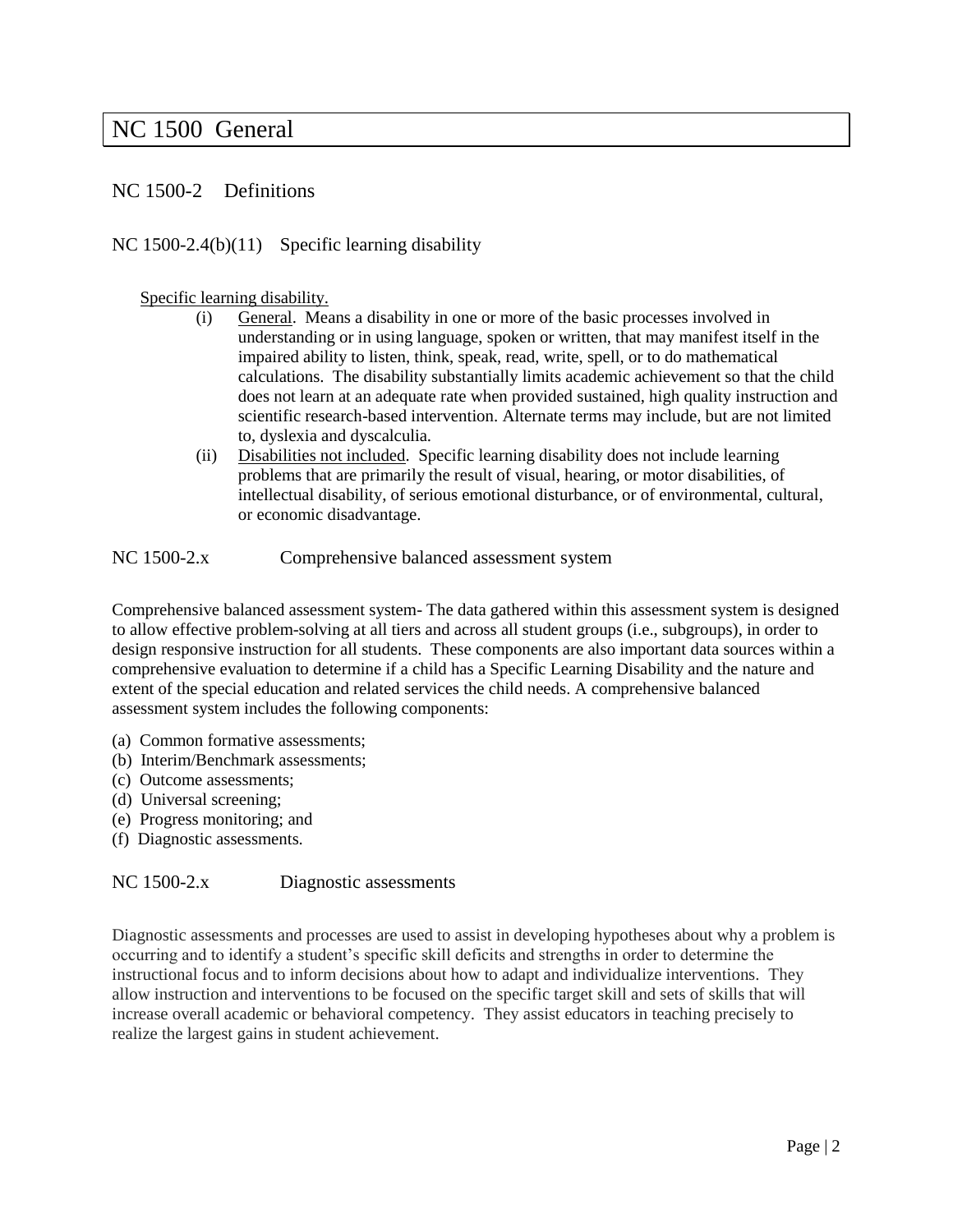#### <span id="page-2-0"></span>NC 1500 General

#### <span id="page-2-1"></span>NC 1500-2 Definitions

#### <span id="page-2-2"></span>NC 1500-2.4(b)(11) Specific learning disability

#### Specific learning disability.

- (i) General. Means a disability in one or more of the basic processes involved in understanding or in using language, spoken or written, that may manifest itself in the impaired ability to listen, think, speak, read, write, spell, or to do mathematical calculations. The disability substantially limits academic achievement so that the child does not learn at an adequate rate when provided sustained, high quality instruction and scientific research-based intervention. Alternate terms may include, but are not limited to, dyslexia and dyscalculia.
- (ii) Disabilities not included. Specific learning disability does not include learning problems that are primarily the result of visual, hearing, or motor disabilities, of intellectual disability, of serious emotional disturbance, or of environmental, cultural, or economic disadvantage.

<span id="page-2-3"></span>NC 1500-2.x Comprehensive balanced assessment system

Comprehensive balanced assessment system- The data gathered within this assessment system is designed to allow effective problem-solving at all tiers and across all student groups (i.e., subgroups), in order to design responsive instruction for all students. These components are also important data sources within a comprehensive evaluation to determine if a child has a Specific Learning Disability and the nature and extent of the special education and related services the child needs. A comprehensive balanced assessment system includes the following components:

- (a) Common formative assessments;
- (b) Interim/Benchmark assessments;
- (c) Outcome assessments;
- (d) Universal screening;
- (e) Progress monitoring; and
- (f) Diagnostic assessments.

#### <span id="page-2-4"></span>NC 1500-2.x Diagnostic assessments

Diagnostic assessments and processes are used to assist in developing hypotheses about why a problem is occurring and to identify a student's specific skill deficits and strengths in order to determine the instructional focus and to inform decisions about how to adapt and individualize interventions. They allow instruction and interventions to be focused on the specific target skill and sets of skills that will increase overall academic or behavioral competency. They assist educators in teaching precisely to realize the largest gains in student achievement.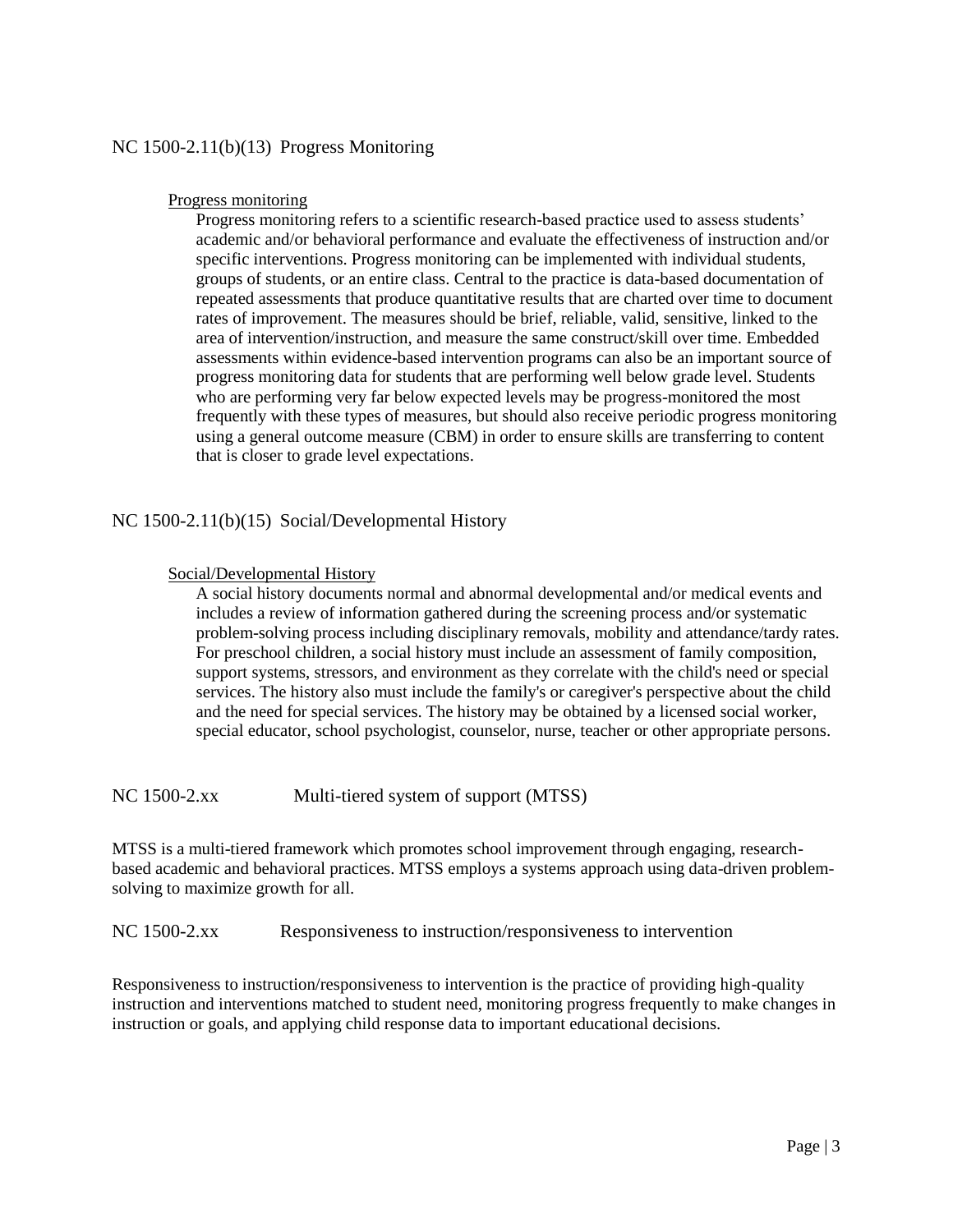#### <span id="page-3-0"></span>NC 1500-2.11(b)(13) Progress Monitoring

#### Progress monitoring

Progress monitoring refers to a scientific research-based practice used to assess students' academic and/or behavioral performance and evaluate the effectiveness of instruction and/or specific interventions. Progress monitoring can be implemented with individual students, groups of students, or an entire class. Central to the practice is data-based documentation of repeated assessments that produce quantitative results that are charted over time to document rates of improvement. The measures should be brief, reliable, valid, sensitive, linked to the area of intervention/instruction, and measure the same construct/skill over time. Embedded assessments within evidence-based intervention programs can also be an important source of progress monitoring data for students that are performing well below grade level. Students who are performing very far below expected levels may be progress-monitored the most frequently with these types of measures, but should also receive periodic progress monitoring using a general outcome measure (CBM) in order to ensure skills are transferring to content that is closer to grade level expectations.

#### <span id="page-3-1"></span>NC 1500-2.11(b)(15) Social/Developmental History

#### Social/Developmental History

A social history documents normal and abnormal developmental and/or medical events and includes a review of information gathered during the screening process and/or systematic problem-solving process including disciplinary removals, mobility and attendance/tardy rates. For preschool children, a social history must include an assessment of family composition, support systems, stressors, and environment as they correlate with the child's need or special services. The history also must include the family's or caregiver's perspective about the child and the need for special services. The history may be obtained by a licensed social worker, special educator, school psychologist, counselor, nurse, teacher or other appropriate persons.

<span id="page-3-2"></span>NC 1500-2.xx Multi-tiered system of support (MTSS)

MTSS is a multi-tiered framework which promotes school improvement through engaging, researchbased academic and behavioral practices. MTSS employs a systems approach using data-driven problemsolving to maximize growth for all.

<span id="page-3-3"></span>NC 1500-2.xx Responsiveness to instruction/responsiveness to intervention

Responsiveness to instruction/responsiveness to intervention is the practice of providing high-quality instruction and interventions matched to student need, monitoring progress frequently to make changes in instruction or goals, and applying child response data to important educational decisions.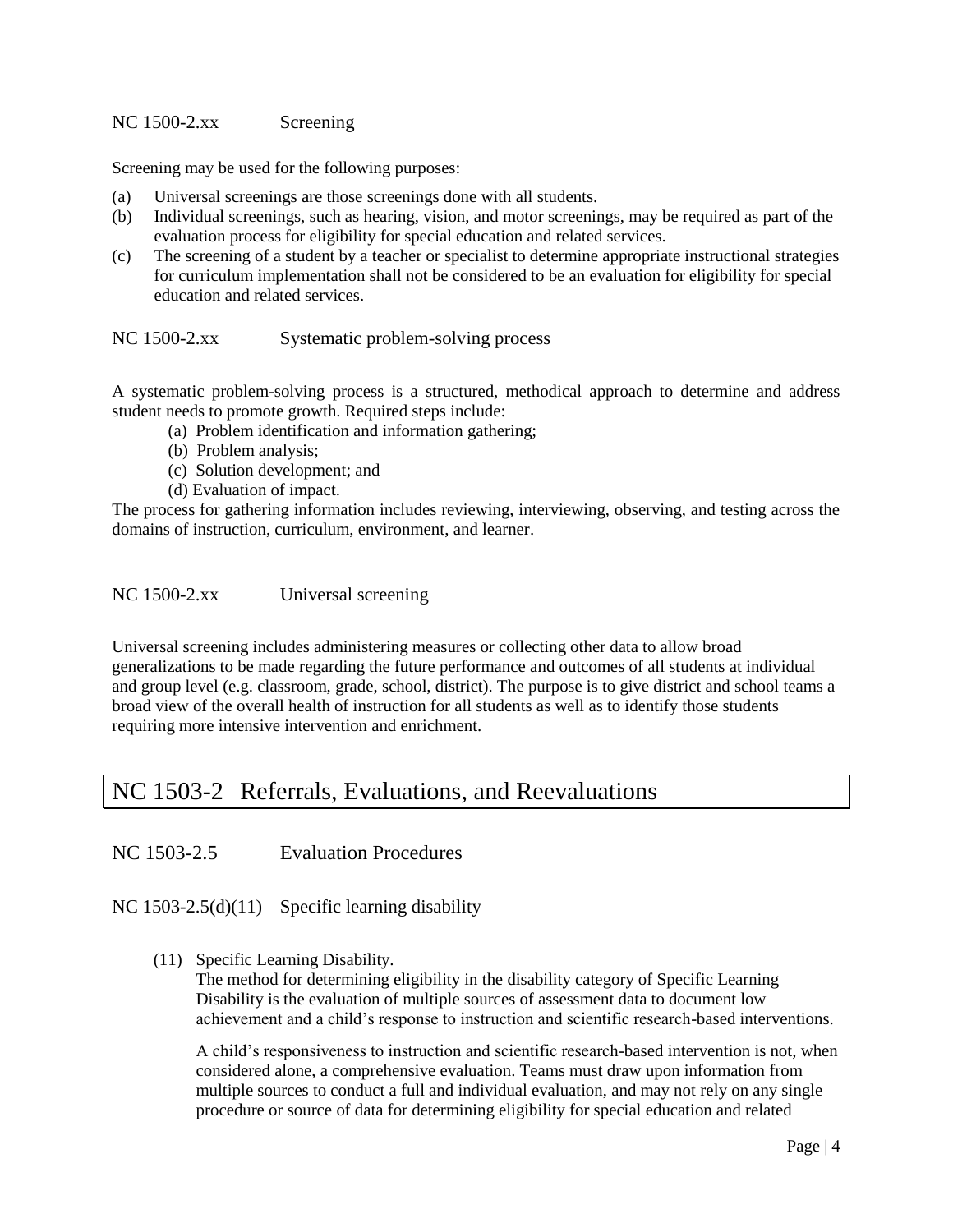#### <span id="page-4-0"></span>NC 1500-2.xx Screening

Screening may be used for the following purposes:

- (a) Universal screenings are those screenings done with all students.
- (b) Individual screenings, such as hearing, vision, and motor screenings, may be required as part of the evaluation process for eligibility for special education and related services.
- (c) The screening of a student by a teacher or specialist to determine appropriate instructional strategies for curriculum implementation shall not be considered to be an evaluation for eligibility for special education and related services.

<span id="page-4-1"></span>NC 1500-2.xx Systematic problem-solving process

A systematic problem-solving process is a structured, methodical approach to determine and address student needs to promote growth. Required steps include:

- (a) Problem identification and information gathering;
- (b) Problem analysis;
- (c) Solution development; and
- (d) Evaluation of impact.

The process for gathering information includes reviewing, interviewing, observing, and testing across the domains of instruction, curriculum, environment, and learner.

<span id="page-4-2"></span>NC 1500-2.xx Universal screening

Universal screening includes administering measures or collecting other data to allow broad generalizations to be made regarding the future performance and outcomes of all students at individual and group level (e.g. classroom, grade, school, district). The purpose is to give district and school teams a broad view of the overall health of instruction for all students as well as to identify those students requiring more intensive intervention and enrichment.

#### <span id="page-4-3"></span>NC 1503-2 Referrals, Evaluations, and Reevaluations

<span id="page-4-4"></span>NC 1503-2.5 Evaluation Procedures

<span id="page-4-5"></span>NC 1503-2.5(d)(11) Specific learning disability

(11) Specific Learning Disability.

The method for determining eligibility in the disability category of Specific Learning Disability is the evaluation of multiple sources of assessment data to document low achievement and a child's response to instruction and scientific research-based interventions.

A child's responsiveness to instruction and scientific research-based intervention is not, when considered alone, a comprehensive evaluation. Teams must draw upon information from multiple sources to conduct a full and individual evaluation, and may not rely on any single procedure or source of data for determining eligibility for special education and related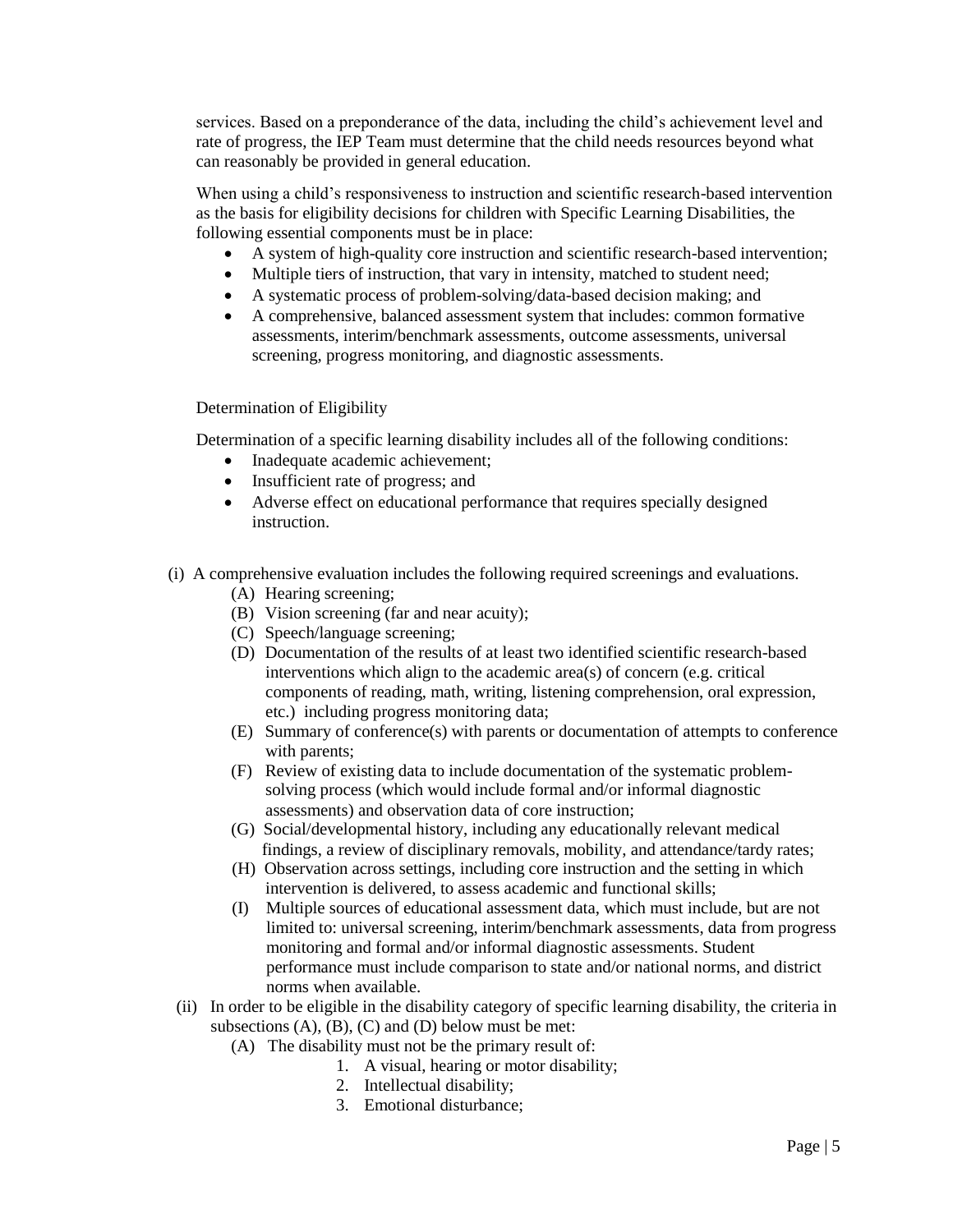services. Based on a preponderance of the data, including the child's achievement level and rate of progress, the IEP Team must determine that the child needs resources beyond what can reasonably be provided in general education.

When using a child's responsiveness to instruction and scientific research-based intervention as the basis for eligibility decisions for children with Specific Learning Disabilities, the following essential components must be in place:

- A system of high-quality core instruction and scientific research-based intervention;
- Multiple tiers of instruction, that vary in intensity, matched to student need;
- A systematic process of problem-solving/data-based decision making; and
- A comprehensive, balanced assessment system that includes: common formative assessments, interim/benchmark assessments, outcome assessments, universal screening, progress monitoring, and diagnostic assessments.

#### Determination of Eligibility

Determination of a specific learning disability includes all of the following conditions:

- Inadequate academic achievement;
- Insufficient rate of progress; and
- Adverse effect on educational performance that requires specially designed instruction.
- (i) A comprehensive evaluation includes the following required screenings and evaluations.
	- (A) Hearing screening;
	- (B) Vision screening (far and near acuity);
	- (C) Speech/language screening;
	- (D) Documentation of the results of at least two identified scientific research-based interventions which align to the academic area(s) of concern (e.g. critical components of reading, math, writing, listening comprehension, oral expression, etc.) including progress monitoring data;
	- (E) Summary of conference(s) with parents or documentation of attempts to conference with parents;
	- (F) Review of existing data to include documentation of the systematic problem solving process (which would include formal and/or informal diagnostic assessments) and observation data of core instruction;
	- (G) Social/developmental history, including any educationally relevant medical findings, a review of disciplinary removals, mobility, and attendance/tardy rates;
	- (H) Observation across settings, including core instruction and the setting in which intervention is delivered, to assess academic and functional skills;
	- (I) Multiple sources of educational assessment data, which must include, but are not limited to: universal screening, interim/benchmark assessments, data from progress monitoring and formal and/or informal diagnostic assessments. Student performance must include comparison to state and/or national norms, and district norms when available.
- (ii) In order to be eligible in the disability category of specific learning disability, the criteria in subsections  $(A)$ ,  $(B)$ ,  $(C)$  and  $(D)$  below must be met:
	- (A) The disability must not be the primary result of:
		- 1. A visual, hearing or motor disability;
		- 2. Intellectual disability;
		- 3. Emotional disturbance;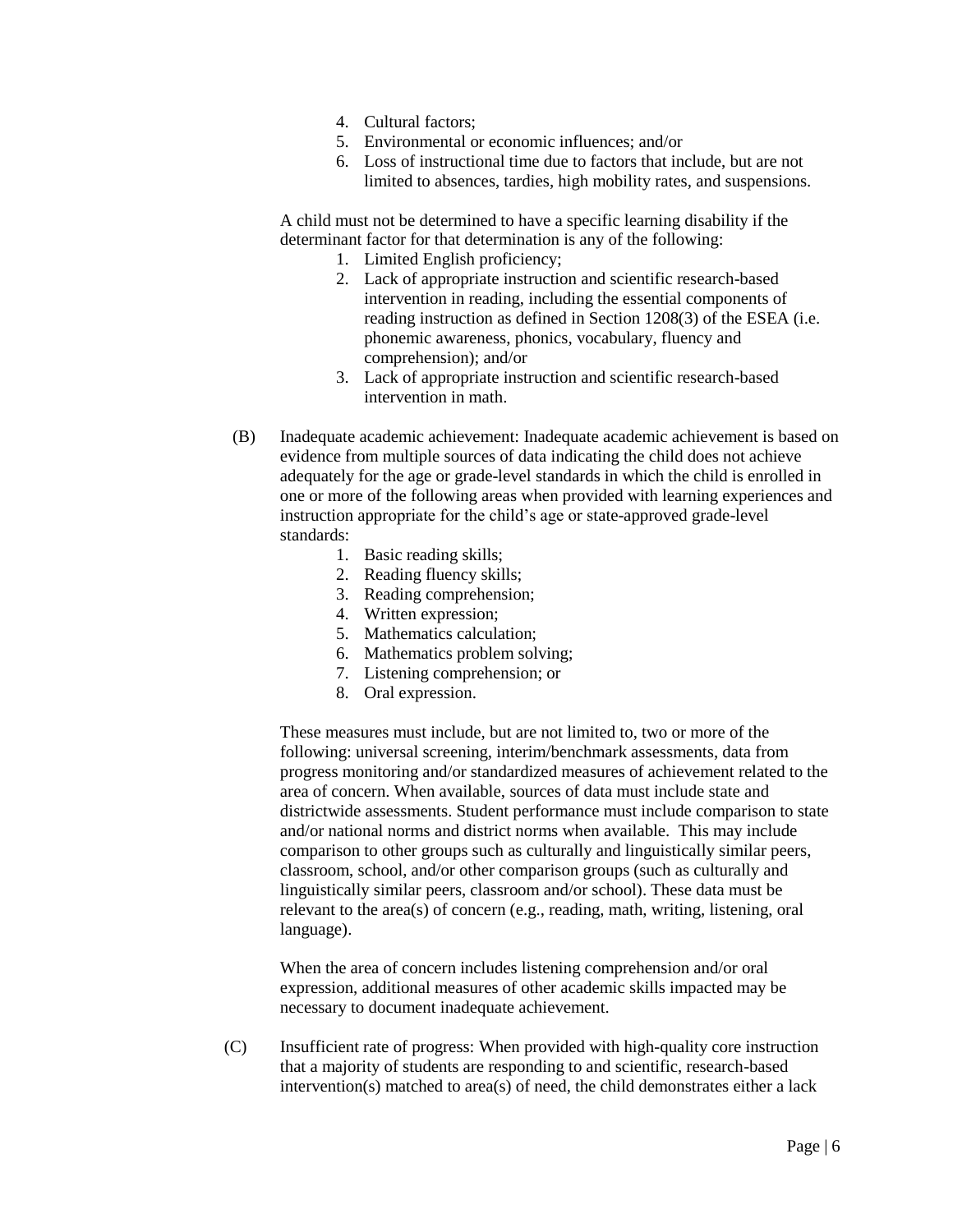- 4. Cultural factors;
- 5. Environmental or economic influences; and/or
- 6. Loss of instructional time due to factors that include, but are not limited to absences, tardies, high mobility rates, and suspensions.

A child must not be determined to have a specific learning disability if the determinant factor for that determination is any of the following:

- 1. Limited English proficiency;
- 2. Lack of appropriate instruction and scientific research-based intervention in reading, including the essential components of reading instruction as defined in Section 1208(3) of the ESEA (i.e. phonemic awareness, phonics, vocabulary, fluency and comprehension); and/or
- 3. Lack of appropriate instruction and scientific research-based intervention in math.
- (B) Inadequate academic achievement: Inadequate academic achievement is based on evidence from multiple sources of data indicating the child does not achieve adequately for the age or grade-level standards in which the child is enrolled in one or more of the following areas when provided with learning experiences and instruction appropriate for the child's age or state-approved grade-level standards:
	- 1. Basic reading skills;
	- 2. Reading fluency skills;
	- 3. Reading comprehension;
	- 4. Written expression;
	- 5. Mathematics calculation;
	- 6. Mathematics problem solving;
	- 7. Listening comprehension; or
	- 8. Oral expression.

These measures must include, but are not limited to, two or more of the following: universal screening, interim/benchmark assessments, data from progress monitoring and/or standardized measures of achievement related to the area of concern. When available, sources of data must include state and districtwide assessments. Student performance must include comparison to state and/or national norms and district norms when available. This may include comparison to other groups such as culturally and linguistically similar peers, classroom, school, and/or other comparison groups (such as culturally and linguistically similar peers, classroom and/or school). These data must be relevant to the area(s) of concern (e.g., reading, math, writing, listening, oral language).

When the area of concern includes listening comprehension and/or oral expression, additional measures of other academic skills impacted may be necessary to document inadequate achievement.

(C) Insufficient rate of progress: When provided with high-quality core instruction that a majority of students are responding to and scientific, research-based intervention(s) matched to area(s) of need, the child demonstrates either a lack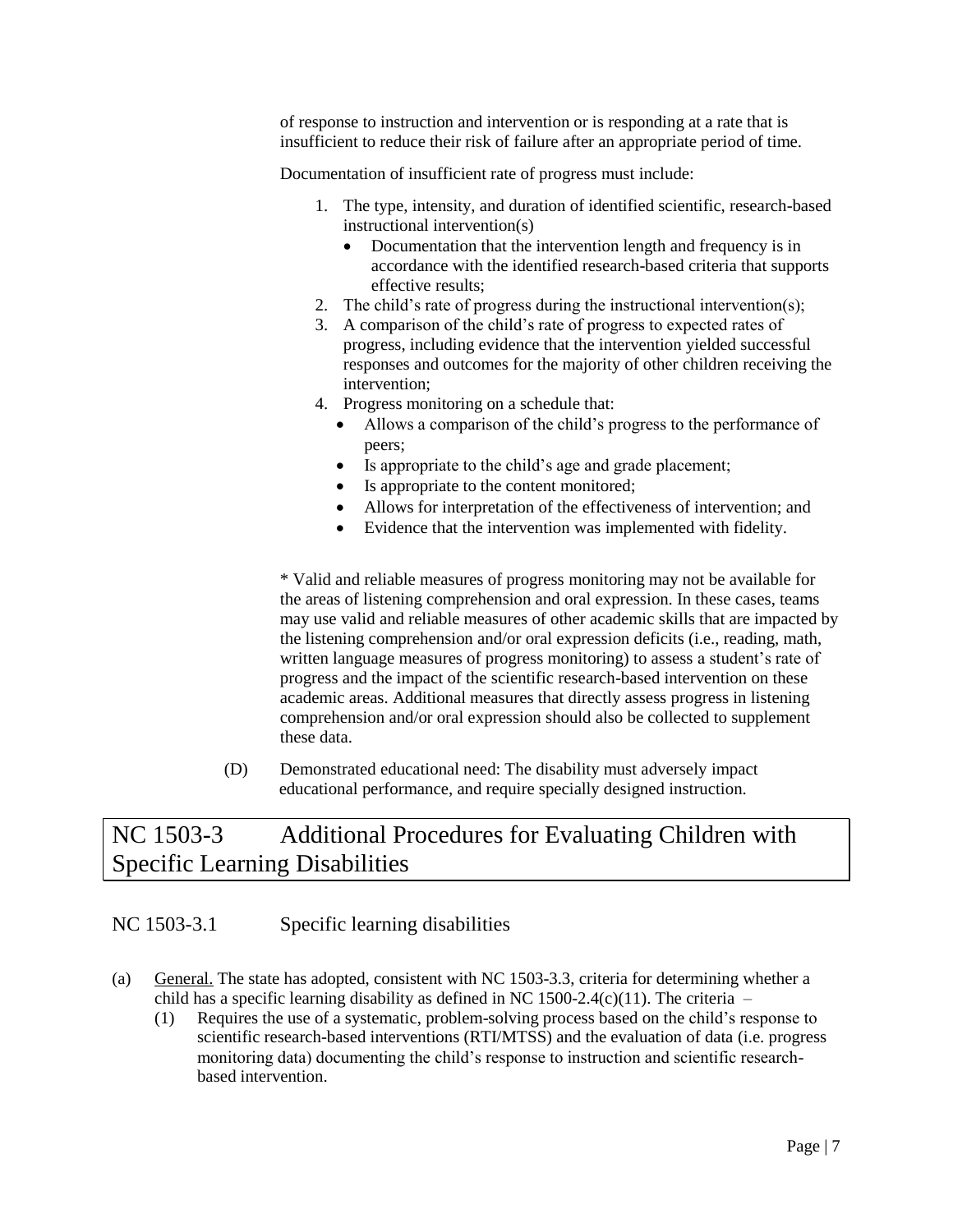of response to instruction and intervention or is responding at a rate that is insufficient to reduce their risk of failure after an appropriate period of time.

Documentation of insufficient rate of progress must include:

- 1. The type, intensity, and duration of identified scientific, research-based instructional intervention(s)
	- Documentation that the intervention length and frequency is in accordance with the identified research-based criteria that supports effective results;
- 2. The child's rate of progress during the instructional intervention(s);
- 3. A comparison of the child's rate of progress to expected rates of progress, including evidence that the intervention yielded successful responses and outcomes for the majority of other children receiving the intervention;
- 4. Progress monitoring on a schedule that:
	- Allows a comparison of the child's progress to the performance of peers;
	- Is appropriate to the child's age and grade placement;
	- Is appropriate to the content monitored;
	- Allows for interpretation of the effectiveness of intervention; and
	- Evidence that the intervention was implemented with fidelity.

\* Valid and reliable measures of progress monitoring may not be available for the areas of listening comprehension and oral expression. In these cases, teams may use valid and reliable measures of other academic skills that are impacted by the listening comprehension and/or oral expression deficits (i.e., reading, math, written language measures of progress monitoring) to assess a student's rate of progress and the impact of the scientific research-based intervention on these academic areas. Additional measures that directly assess progress in listening comprehension and/or oral expression should also be collected to supplement these data.

 (D) Demonstrated educational need: The disability must adversely impact educational performance, and require specially designed instruction.

#### <span id="page-7-0"></span>NC 1503-3 Additional Procedures for Evaluating Children with Specific Learning Disabilities

#### <span id="page-7-1"></span>NC 1503-3.1 Specific learning disabilities

- (a) General. The state has adopted, consistent with NC 1503-3.3, criteria for determining whether a child has a specific learning disability as defined in NC 1500-2.4(c)(11). The criteria –
	- (1) Requires the use of a systematic, problem-solving process based on the child's response to scientific research-based interventions (RTI/MTSS) and the evaluation of data (i.e. progress monitoring data) documenting the child's response to instruction and scientific researchbased intervention.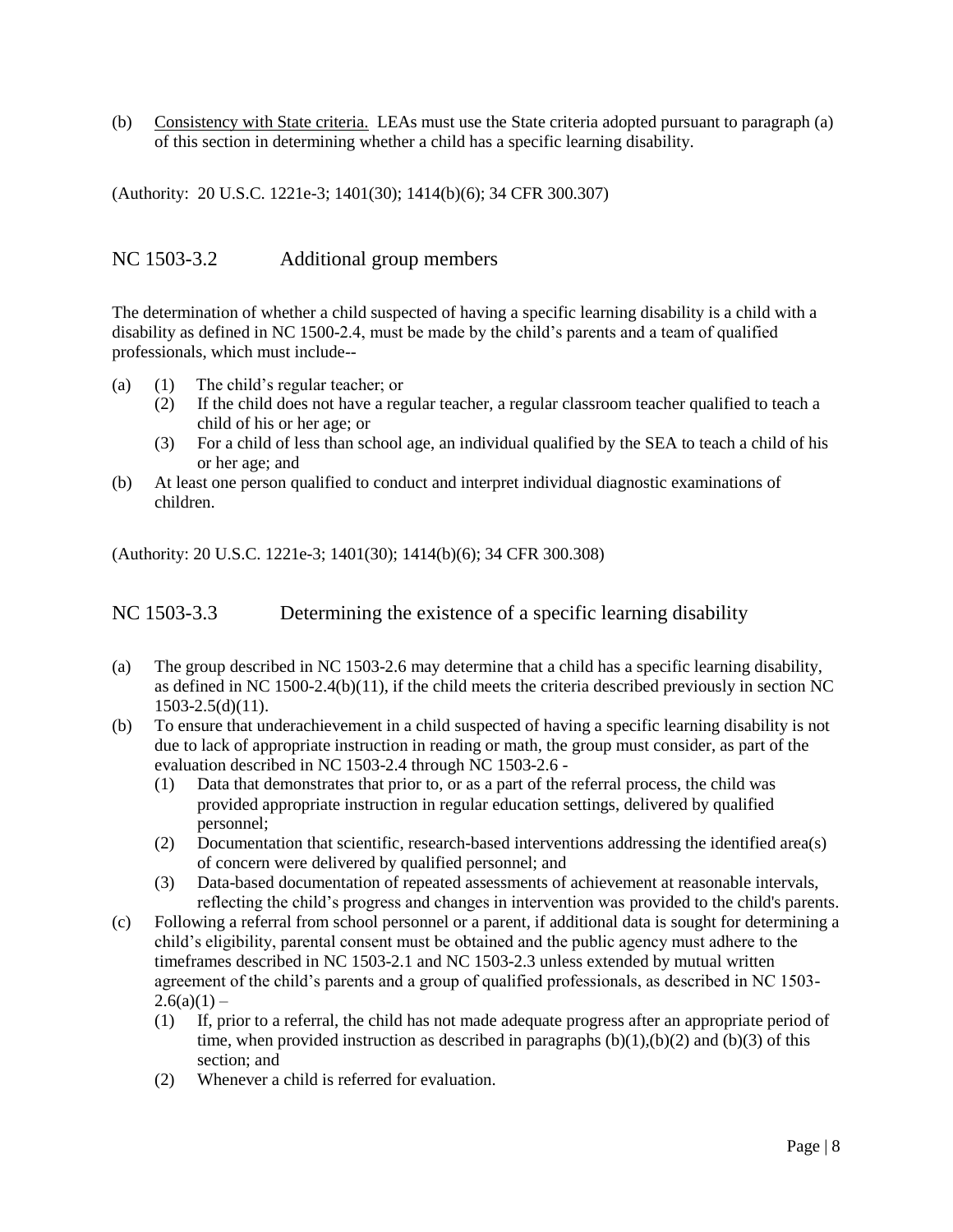(b) Consistency with State criteria. LEAs must use the State criteria adopted pursuant to paragraph (a) of this section in determining whether a child has a specific learning disability.

(Authority: 20 U.S.C. 1221e-3; 1401(30); 1414(b)(6); 34 CFR 300.307)

#### <span id="page-8-0"></span>NC 1503-3.2 Additional group members

The determination of whether a child suspected of having a specific learning disability is a child with a disability as defined in NC 1500-2.4, must be made by the child's parents and a team of qualified professionals, which must include--

- (a) (1) The child's regular teacher; or
	- (2) If the child does not have a regular teacher, a regular classroom teacher qualified to teach a child of his or her age; or
	- (3) For a child of less than school age, an individual qualified by the SEA to teach a child of his or her age; and
- (b) At least one person qualified to conduct and interpret individual diagnostic examinations of children.

(Authority: 20 U.S.C. 1221e-3; 1401(30); 1414(b)(6); 34 CFR 300.308)

<span id="page-8-1"></span>NC 1503-3.3 Determining the existence of a specific learning disability

- (a) The group described in NC 1503-2.6 may determine that a child has a specific learning disability, as defined in NC 1500-2.4(b)(11), if the child meets the criteria described previously in section NC 1503-2.5(d)(11).
- (b) To ensure that underachievement in a child suspected of having a specific learning disability is not due to lack of appropriate instruction in reading or math, the group must consider, as part of the evaluation described in NC 1503-2.4 through NC 1503-2.6 -
	- (1) Data that demonstrates that prior to, or as a part of the referral process, the child was provided appropriate instruction in regular education settings, delivered by qualified personnel;
	- (2) Documentation that scientific, research-based interventions addressing the identified area(s) of concern were delivered by qualified personnel; and
	- (3) Data-based documentation of repeated assessments of achievement at reasonable intervals, reflecting the child's progress and changes in intervention was provided to the child's parents.
- (c) Following a referral from school personnel or a parent, if additional data is sought for determining a child's eligibility, parental consent must be obtained and the public agency must adhere to the timeframes described in NC 1503-2.1 and NC 1503-2.3 unless extended by mutual written agreement of the child's parents and a group of qualified professionals, as described in NC 1503-  $2.6(a)(1)$  –
	- (1) If, prior to a referral, the child has not made adequate progress after an appropriate period of time, when provided instruction as described in paragraphs  $(b)(1),(b)(2)$  and  $(b)(3)$  of this section; and
	- (2) Whenever a child is referred for evaluation.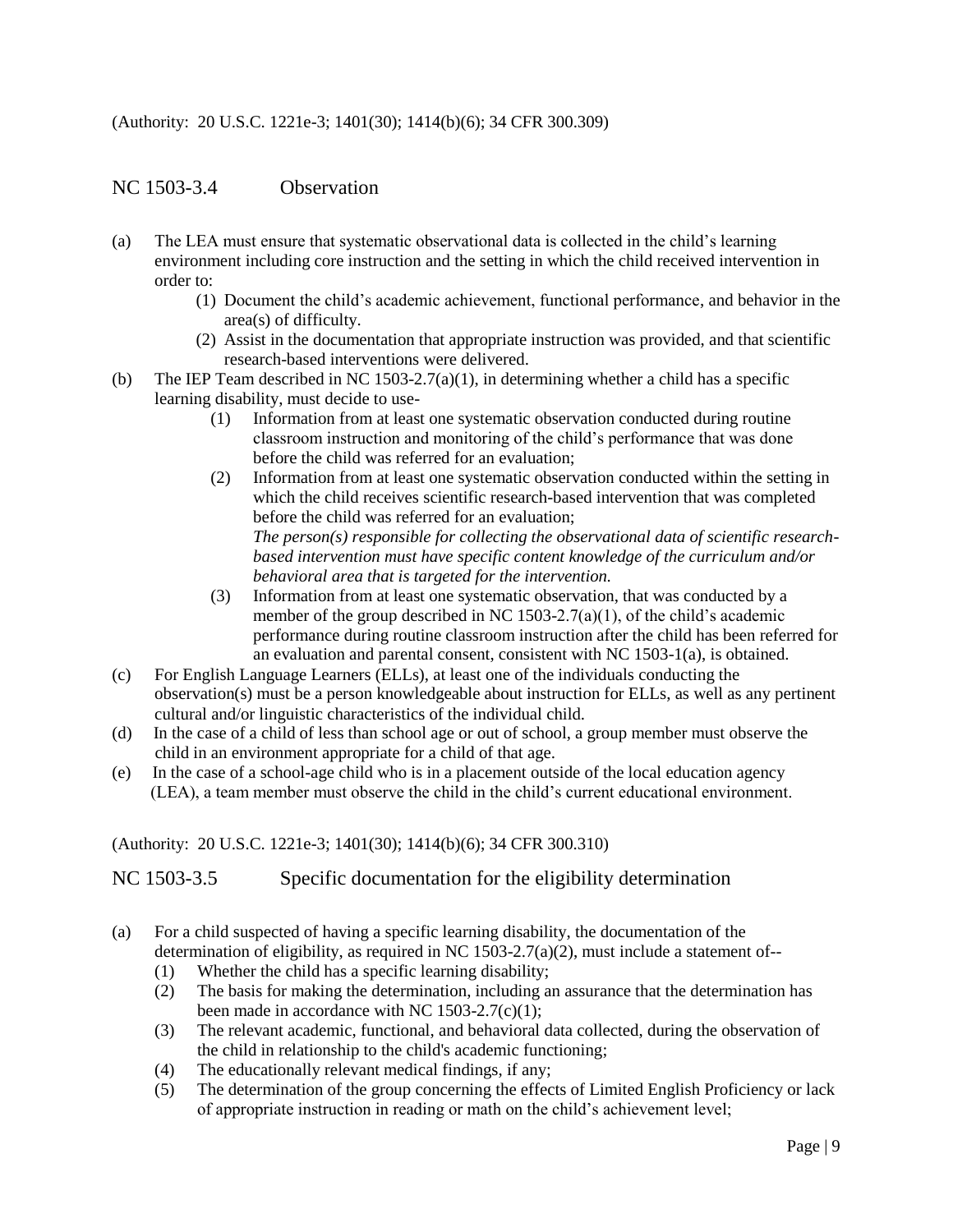(Authority: 20 U.S.C. 1221e-3; 1401(30); 1414(b)(6); 34 CFR 300.309)

#### <span id="page-9-0"></span>NC 1503-3.4 Observation

- (a) The LEA must ensure that systematic observational data is collected in the child's learning environment including core instruction and the setting in which the child received intervention in order to:
	- (1) Document the child's academic achievement, functional performance, and behavior in the area(s) of difficulty.
	- (2) Assist in the documentation that appropriate instruction was provided, and that scientific research-based interventions were delivered.
- (b) The IEP Team described in NC 1503-2.7(a)(1), in determining whether a child has a specific learning disability, must decide to use-
	- (1) Information from at least one systematic observation conducted during routine classroom instruction and monitoring of the child's performance that was done before the child was referred for an evaluation;
	- (2) Information from at least one systematic observation conducted within the setting in which the child receives scientific research-based intervention that was completed before the child was referred for an evaluation; *The person(s) responsible for collecting the observational data of scientific researchbased intervention must have specific content knowledge of the curriculum and/or behavioral area that is targeted for the intervention.*
	- (3) Information from at least one systematic observation, that was conducted by a member of the group described in NC 1503-2.7(a)(1), of the child's academic performance during routine classroom instruction after the child has been referred for an evaluation and parental consent, consistent with NC 1503-1(a), is obtained.
- (c) For English Language Learners (ELLs), at least one of the individuals conducting the observation(s) must be a person knowledgeable about instruction for ELLs, as well as any pertinent cultural and/or linguistic characteristics of the individual child.
- (d) In the case of a child of less than school age or out of school, a group member must observe the child in an environment appropriate for a child of that age.
- (e) In the case of a school-age child who is in a placement outside of the local education agency (LEA), a team member must observe the child in the child's current educational environment.

#### (Authority: 20 U.S.C. 1221e-3; 1401(30); 1414(b)(6); 34 CFR 300.310)

<span id="page-9-1"></span>NC 1503-3.5 Specific documentation for the eligibility determination

- (a) For a child suspected of having a specific learning disability, the documentation of the determination of eligibility, as required in NC 1503-2.7(a)(2), must include a statement of--
	- (1) Whether the child has a specific learning disability;
	- (2) The basis for making the determination, including an assurance that the determination has been made in accordance with NC 1503-2.7(c)(1);
	- (3) The relevant academic, functional, and behavioral data collected, during the observation of the child in relationship to the child's academic functioning;
	- (4) The educationally relevant medical findings, if any;
	- (5) The determination of the group concerning the effects of Limited English Proficiency or lack of appropriate instruction in reading or math on the child's achievement level;